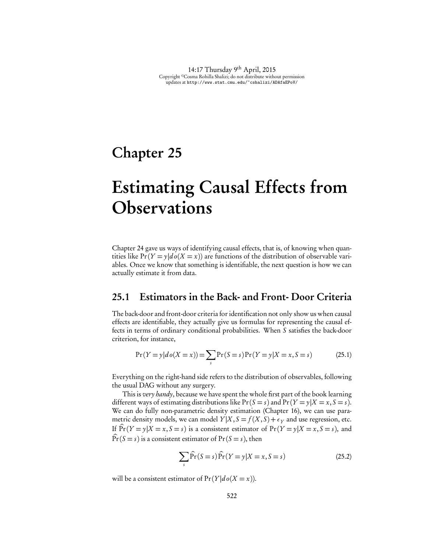## Chapter 25

# Estimating Causal Effects from **Observations**

Chapter 24 gave us ways of identifying causal effects, that is, of knowing when quantities like  $Pr(Y = y | do(X = x))$  are functions of the distribution of observable variables. Once we know that something is identifiable, the next question is how we can actually estimate it from data.

## 25.1 Estimators in the Back- and Front- Door Criteria

The back-door and front-door criteria for identification not only show us when causal effects are identifiable, they actually give us formulas for representing the causal effects in terms of ordinary conditional probabilities. When *S* satisfies the back-door criterion, for instance,

$$
\Pr(Y = y | do(X = x)) = \sum_{s} \Pr(S = s) \Pr(Y = y | X = x, S = s)
$$
\n(25.1)

Everything on the right-hand side refers to the distribution of observables, following the usual DAG without any surgery.

This is *very handy*, because we have spent the whole first part of the book learning different ways of estimating distributions like  $Pr(S = s)$  and  $Pr(Y = \gamma | X = x, S = s)$ . We can do fully non-parametric density estimation (Chapter 16), we can use parametric density models, we can model  $Y|X, S = f(X, S) + \epsilon_Y$  and use regression, etc. If  $Pr(Y = y | X = x, S = s)$  is a consistent estimator of  $Pr(Y = y | X = x, S = s)$ , and  $\Pr(S = s)$  is a consistent estimator of  $\Pr(S = s)$ , then

$$
\sum_{s} \widehat{\Pr}(S=s) \widehat{\Pr}(Y=y|X=x, S=s)
$$
\n(25.2)

will be a consistent estimator of  $Pr(Y|do(X = x))$ .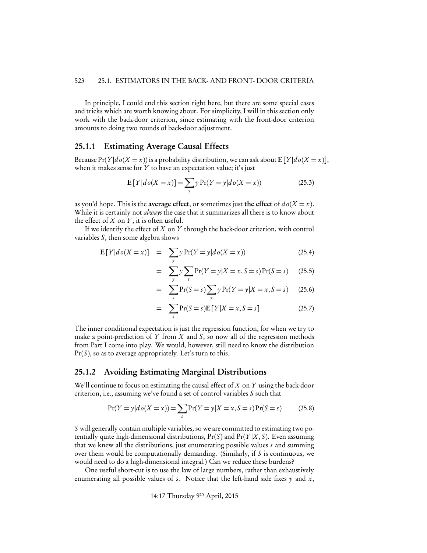In principle, I could end this section right here, but there are some special cases and tricks which are worth knowing about. For simplicity, I will in this section only work with the back-door criterion, since estimating with the front-door criterion amounts to doing two rounds of back-door adjustment.

#### 25.1.1 Estimating Average Causal Effects

Because  $Pr(Y|do(X = x))$  is a probability distribution, we can ask about  $E[Y|do(X = x)]$ , when it makes sense for *Y* to have an expectation value; it's just

$$
E[Y|do(X = x)] = \sum_{y} y Pr(Y = y|do(X = x))
$$
\n(25.3)

as you'd hope. This is the average effect, or sometimes just the effect of  $d\mathfrak{o}(X = x)$ . While it is certainly not *always* the case that it summarizes all there is to know about the effect of *X* on *Y*, it is often useful.

If we identify the effect of *X* on *Y* through the back-door criterion, with control variables *S*, then some algebra shows

$$
E[Y|do(X = x)] = \sum_{y} y Pr(Y = y|do(X = x))
$$
 (25.4)

$$
= \sum_{y} y \sum_{s} \Pr(Y = y | X = x, S = s) \Pr(S = s) \tag{25.5}
$$

$$
= \sum_{s} \Pr(S = s) \sum_{y} y \Pr(Y = y | X = x, S = s) \tag{25.6}
$$

$$
= \sum_{s} \Pr(S = s) \mathbf{E} [Y|X = x, S = s]
$$
 (25.7)

The inner conditional expectation is just the regression function, for when we try to make a point-prediction of *Y* from *X* and *S*, so now all of the regression methods from Part I come into play. We would, however, still need to know the distribution Pr(*S*), so as to average appropriately. Let's turn to this.

#### 25.1.2 Avoiding Estimating Marginal Distributions

We'll continue to focus on estimating the causal effect of *X* on *Y* using the back-door criterion, i.e., assuming we've found a set of control variables *S* such that

$$
\Pr(Y = y | do(X = x)) = \sum_{s} \Pr(Y = y | X = x, S = s) \Pr(S = s)
$$
 (25.8)

*S* will generally contain multiple variables, so we are committed to estimating two potentially quite high-dimensional distributions, Pr(*S*) and Pr(*Y|X* , *S*). Even assuming that we knew all the distributions, just enumerating possible values *s* and summing over them would be computationally demanding. (Similarly, if *S* is continuous, we would need to do a high-dimensional integral.) Can we reduce these burdens?

One useful short-cut is to use the law of large numbers, rather than exhaustively enumerating all possible values of *s*. Notice that the left-hand side fixes *y* and *x*,

14:17 Thursday 9th April, 2015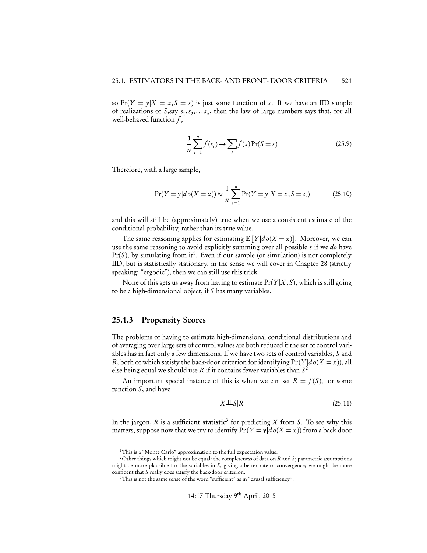so  $Pr(Y = y | X = x, S = s)$  is just some function of *s*. If we have an IID sample of realizations of  $S$ , say  $s_1, s_2, \ldots s_n$ , then the law of large numbers says that, for all well-behaved function *f* ,

$$
\frac{1}{n}\sum_{i=1}^{n}f(s_i) \to \sum_{s} f(s)\Pr(S=s)
$$
\n(25.9)

Therefore, with a large sample,

$$
\Pr(Y = y | do(X = x)) \approx \frac{1}{n} \sum_{i=1}^{n} \Pr(Y = y | X = x, S = s_i)
$$
 (25.10)

and this will still be (approximately) true when we use a consistent estimate of the conditional probability, rather than its true value.

The same reasoning applies for estimating  $E[Y|do(X = x)]$ . Moreover, we can use the same reasoning to avoid explicitly summing over all possible *s* if we *do* have  $Pr(S)$ , by simulating from it<sup>1</sup>. Even if our sample (or simulation) is not completely IID, but is statistically stationary, in the sense we will cover in Chapter 28 (strictly speaking: "ergodic"), then we can still use this trick.

None of this gets us away from having to estimate Pr(*Y|X* , *S*), which is still going to be a high-dimensional object, if *S* has many variables.

#### 25.1.3 Propensity Scores

The problems of having to estimate high-dimensional conditional distributions and of averaging over large sets of control values are both reduced if the set of control variables has in fact only a few dimensions. If we have two sets of control variables, *S* and *R*, both of which satisfy the back-door criterion for identifying  $Pr(Y|do(X = x))$ , all else being equal we should use *R* if it contains fewer variables than *S*<sup>2</sup>

An important special instance of this is when we can set  $R = f(S)$ , for some function *S*, and have

$$
X \perp \!\!\!\perp S | R \tag{25.11}
$$

In the jargon,  $R$  is a sufficient statistic<sup>3</sup> for predicting  $X$  from  $S$ . To see why this matters, suppose now that we try to identify  $Pr(Y = y| do(X = x))$  from a back-door

<sup>1</sup>This is a "Monte Carlo" approximation to the full expectation value.

<sup>2</sup>Other things which might not be equal: the completeness of data on *R* and *S*; parametric assumptions might be more plausible for the variables in *S*, giving a better rate of convergence; we might be more confident that *S* really does satisfy the back-door criterion.

<sup>&</sup>lt;sup>3</sup>This is not the same sense of the word "sufficient" as in "causal sufficiency".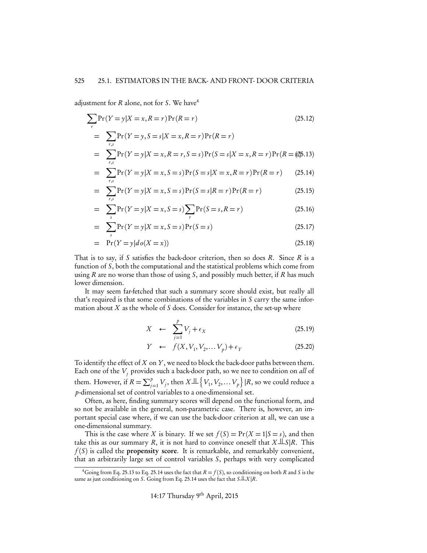adjustment for  $R$  alone, not for  $S$ . We have<sup>4</sup>

$$
\sum_{r} \Pr(Y = y | X = x, R = r) \Pr(R = r)
$$
\n
$$
= \sum_{r,s} \Pr(Y = y, S = s | X = x, R = r) \Pr(R = r)
$$
\n
$$
= \sum_{r,s} \Pr(Y = y | X = x, R = r, S = s) \Pr(S = s | X = x, R = r) \Pr(R = (25.13))
$$
\n
$$
= \sum_{r,s} \Pr(Y = y | X = x, S = s) \Pr(S = s | X = x, R = r) \Pr(R = r)
$$
\n(25.14)

$$
= \sum_{r,s} \Pr(Y = y | X = x, S = s) \Pr(S = s | R = r) \Pr(R = r)
$$
\n(25.15)

$$
= \sum_{s} \Pr(Y = y | X = x, S = s) \sum_{r} \Pr(S = s, R = r)
$$
 (25.16)

$$
= \sum_{s} \Pr(Y = y | X = x, S = s) \Pr(S = s)
$$
\n(25.17)

$$
= \Pr(Y = y | do(X = x)) \tag{25.18}
$$

That is to say, if *S* satisfies the back-door criterion, then so does *R*. Since *R* is a function of *S*, both the computational and the statistical problems which come from using *R* are no worse than those of using *S*, and possibly much better, if *R* has much lower dimension.

It may seem far-fetched that such a summary score should exist, but really all that's required is that some combinations of the variables in *S* carry the same information about *X* as the whole of *S* does. Consider for instance, the set-up where

$$
X \leftarrow \sum_{j=1}^{p} V_j + \epsilon_X \tag{25.19}
$$

$$
Y \leftarrow f(X, V_1, V_2, \dots V_p) + \epsilon_Y \tag{25.20}
$$

To identify the effect of *X* on *Y*, we need to block the back-door paths between them. Each one of the *Vj* provides such a back-door path, so we nee to condition on *all* of them. However, if  $R = \sum_{j=1}^{p} V_j$ , then  $X \perp\!\!\!\perp \left\{V_1, V_2, \ldots V_p\right\} | R$ , so we could reduce a *p*-dimensional set of control variables to a one-dimensional set.

Often, as here, finding summary scores will depend on the functional form, and so not be available in the general, non-parametric case. There is, however, an important special case where, if we can use the back-door criterion at all, we can use a one-dimensional summary.

This is the case where *X* is binary. If we set  $f(S) = Pr(X = 1|S = s)$ , and then take this as our summary *R*, it is not hard to convince oneself that  $X \perp \!\!\!\perp S | R$ . This  $f(S)$  is called the **propensity score**. It is remarkable, and remarkably convenient, that an arbitrarily large set of control variables *S*, perhaps with very complicated

<sup>&</sup>lt;sup>4</sup>Going from Eq. 25.13 to Eq. 25.14 uses the fact that  $R = f(S)$ , so conditioning on both *R* and *S* is the same as just conditioning on *S*. Going from Eq. 25.14 uses the fact that  $S \perp \!\!\! \perp X | R$ .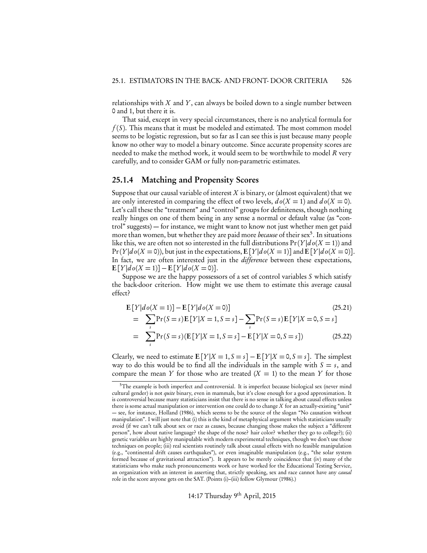relationships with *X* and *Y*, can always be boiled down to a single number between 0 and 1, but there it is.

That said, except in very special circumstances, there is no analytical formula for *f* (*S*). This means that it must be modeled and estimated. The most common model seems to be logistic regression, but so far as I can see this is just because many people know no other way to model a binary outcome. Since accurate propensity scores are needed to make the method work, it would seem to be worthwhile to model *R* very carefully, and to consider GAM or fully non-parametric estimates.

#### 25.1.4 Matching and Propensity Scores

Suppose that our causal variable of interest  $X$  is binary, or (almost equivalent) that we are only interested in comparing the effect of two levels,  $d\mathfrak{o}(X = 1)$  and  $d\mathfrak{o}(X = 0)$ . Let's call these the "treatment" and "control" groups for definiteness, though nothing really hinges on one of them being in any sense a normal or default value (as "control" suggests) — for instance, we might want to know not just whether men get paid more than women, but whether they are paid more *because* of their sex<sup>5</sup>. In situations like this, we are often not so interested in the full distributions  $Pr(Y|do(X = 1))$  and  $Pr(Y|do(X=0))$ , but just in the expectations,  $E[Y|do(X=1)]$  and  $E[Y|do(X=0)]$ . In fact, we are often interested just in the *difference* between these expectations,  $E[Y|do(X = 1)] - E[Y|do(X = 0)].$ 

Suppose we are the happy possessors of a set of control variables *S* which satisfy the back-door criterion. How might we use them to estimate this average causal effect?

$$
\begin{aligned} \mathbf{E}\left[Y|do(X=1)\right] - \mathbf{E}\left[Y|do(X=0)\right] & (25.21) \\ &= \sum_{s} \Pr(S=s) \mathbf{E}\left[Y|X=1, S=s\right] - \sum_{s} \Pr(S=s) \mathbf{E}\left[Y|X=0, S=s\right] \\ &= \sum_{s} \Pr(S=s) (\mathbf{E}\left[Y|X=1, S=s\right] - \mathbf{E}\left[Y|X=0, S=s\right]) & (25.22) \end{aligned}
$$

Clearly, we need to estimate  $E[Y|X = 1, S = s] - E[Y|X = 0, S = s]$ . The simplest way to do this would be to find all the individuals in the sample with  $S = s$ , and compare the mean *Y* for those who are treated  $(X = 1)$  to the mean *Y* for those

14:17 Thursday 9th April, 2015

<sup>&</sup>lt;sup>5</sup>The example is both imperfect and controversial. It is imperfect because biological sex (never mind cultural gender) is not *quite* binary, even in mammals, but it's close enough for a good approximation. It is controversial because many statisticians insist that there is no sense in talking about causal effects unless there is some actual manipulation or intervention one could do to change *X* for an actually-existing "unit" — see, for instance, Holland (1986), which seems to be the source of the slogan "No causation without manipulation". I will just note that (i) this is the kind of metaphysical argument which statisticians usually avoid (if we can't talk about sex or race as causes, because changing those makes the subject a "different person", how about native language? the shape of the nose? hair color? whether they go to college?); (ii) genetic variables are highly manipulable with modern experimental techniques, though we don't use those techniques on people; (iii) real scientists routinely talk about causal effects with no feasible manipulation (e.g., "continental drift causes earthquakes"), or even imaginable manipulation (e.g., "the solar system formed because of gravitational attraction"). It appears to be merely coincidence that (iv) many of the statisticians who make such pronouncements work or have worked for the Educational Testing Service, an organization with an interest in asserting that, strictly speaking, sex and race cannot have any *causal* role in the score anyone gets on the SAT. (Points (i)–(iii) follow Glymour (1986).)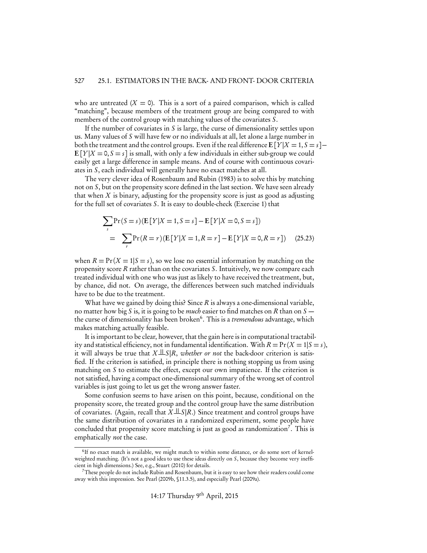who are untreated  $(X = 0)$ . This is a sort of a paired comparison, which is called "matching", because members of the treatment group are being compared to with members of the control group with matching values of the covariates *S*.

If the number of covariates in *S* is large, the curse of dimensionality settles upon us. Many values of *S* will have few or no individuals at all, let alone a large number in both the treatment and the control groups. Even if the real difference  $E[Y|X = 1, S = s]$  $E[Y|X=0, S=s]$  is small, with only a few individuals in either sub-group we could easily get a large difference in sample means. And of course with continuous covariates in *S*, each individual will generally have no exact matches at all.

The very clever idea of Rosenbaum and Rubin (1983) is to solve this by matching not on *S*, but on the propensity score defined in the last section. We have seen already that when *X* is binary, adjusting for the propensity score is just as good as adjusting for the full set of covariates *S*. It is easy to double-check (Exercise 1) that

$$
\sum_{s} \Pr(S = s) (\mathbf{E}[Y|X = 1, S = s] - \mathbf{E}[Y|X = 0, S = s])
$$
  
= 
$$
\sum_{r} \Pr(R = r) (\mathbf{E}[Y|X = 1, R = r] - \mathbf{E}[Y|X = 0, R = r])
$$
 (25.23)

when  $R = Pr(X = 1|S = s)$ , so we lose no essential information by matching on the propensity score *R* rather than on the covariates *S*. Intuitively, we now compare each treated individual with one who was just as likely to have received the treatment, but, by chance, did not. On average, the differences between such matched individuals have to be due to the treatment.

What have we gained by doing this? Since *R* is always a one-dimensional variable, no matter how big *S* is, it is going to be *much* easier to find matches on *R* than on *S* the curse of dimensionality has been broken<sup>6</sup>. This is a *tremendous* advantage, which makes matching actually feasible.

It is important to be clear, however, that the gain here is in computational tractability and statistical efficiency, not in fundamental identification. With  $R = Pr(X = 1|S = s)$ , it will always be true that  $X \perp \!\!\!\perp S | R$ , *whether or not* the back-door criterion is satisfied. If the criterion is satisfied, in principle there is nothing stopping us from using matching on *S* to estimate the effect, except our own impatience. If the criterion is not satisfied, having a compact one-dimensional summary of the wrong set of control variables is just going to let us get the wrong answer faster.

Some confusion seems to have arisen on this point, because, conditional on the propensity score, the treated group and the control group have the same distribution of covariates. (Again, recall that  $X \perp \!\!\!\perp S | R$ .) Since treatment and control groups have the same distribution of covariates in a randomized experiment, some people have concluded that propensity score matching is just as good as randomization<sup>7</sup>. This is emphatically *not* the case.

<sup>6</sup>If no exact match is available, we might match to within some distance, or do some sort of kernelweighted matching. (It's not a good idea to use these ideas directly on *S*, because they become very inefficient in high dimensions.) See, e.g., Stuart (2010) for details.

 $7$ These people do not include Rubin and Rosenbaum, but it is easy to see how their readers could come away with this impression. See Pearl (2009b, §11.3.5), and especially Pearl (2009a).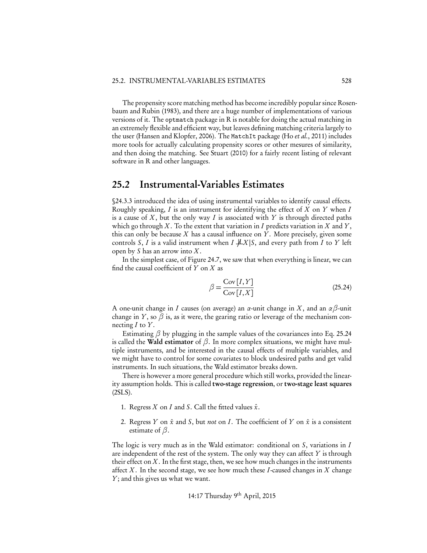The propensity score matching method has become incredibly popular since Rosenbaum and Rubin (1983), and there are a huge number of implementations of various versions of it. The optmatch package in R is notable for doing the actual matching in an extremely flexible and efficient way, but leaves defining matching criteria largely to the user (Hansen and Klopfer, 2006). The MatchIt package (Ho *et al.*, 2011) includes more tools for actually calculating propensity scores or other mesures of similarity, and then doing the matching. See Stuart (2010) for a fairly recent listing of relevant software in R and other languages.

## 25.2 Instrumental-Variables Estimates

§24.3.3 introduced the idea of using instrumental variables to identify causal effects. Roughly speaking, *I* is an instrument for identifying the effect of *X* on *Y* when *I* is a cause of *X* , but the only way *I* is associated with *Y* is through directed paths which go through *X* . To the extent that variation in *I* predicts variation in *X* and *Y*, this can only be because *X* has a causal influence on *Y*. More precisely, given some controls *S*, *I* is a valid instrument when  $I \not\perp X | S$ , and every path from *I* to *Y* left open by *S* has an arrow into *X* .

In the simplest case, of Figure 24.7, we saw that when everything is linear, we can find the causal coefficient of *Y* on *X* as

$$
\beta = \frac{\text{Cov}[I, Y]}{\text{Cov}[I, X]}
$$
\n(25.24)

A one-unit change in *I* causes (on average) an  $\alpha$ -unit change in X, and an  $\alpha\beta$ -unit change in *Y*, so  $\beta$  is, as it were, the gearing ratio or leverage of the mechanism connecting *I* to *Y*.

Estimating  $\beta$  by plugging in the sample values of the covariances into Eq. 25.24 is called the Wald estimator of  $\beta$ . In more complex situations, we might have multiple instruments, and be interested in the causal effects of multiple variables, and we might have to control for some covariates to block undesired paths and get valid instruments. In such situations, the Wald estimator breaks down.

There is however a more general procedure which still works, provided the linearity assumption holds. This is called two-stage regression, or two-stage least squares (2SLS).

- 1. Regress *X* on *I* and *S*. Call the fitted values *x*ˆ.
- 2. Regress *Y* on  $\hat{x}$  and *S*, but *not* on *I*. The coefficient of *Y* on  $\hat{x}$  is a consistent estimate of  $\beta$ .

The logic is very much as in the Wald estimator: conditional on *S*, variations in *I* are independent of the rest of the system. The only way they can affect *Y* is through their effect on  $X$ . In the first stage, then, we see how much changes in the instruments affect *X* . In the second stage, we see how much these *I*-caused changes in *X* change *Y*; and this gives us what we want.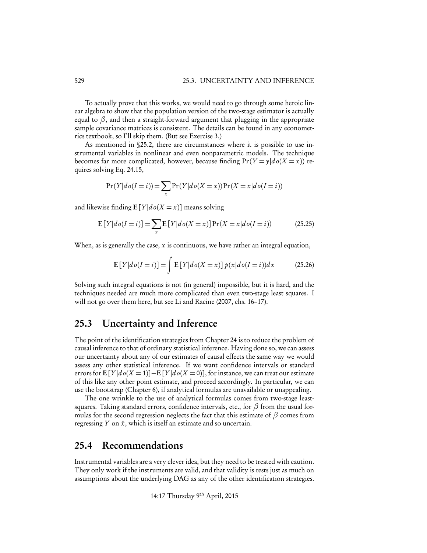To actually prove that this works, we would need to go through some heroic linear algebra to show that the population version of the two-stage estimator is actually equal to  $\beta$ , and then a straight-forward argument that plugging in the appropriate sample covariance matrices is consistent. The details can be found in any econometrics textbook, so I'll skip them. (But see Exercise 3.)

As mentioned in §25.2, there are circumstances where it is possible to use instrumental variables in nonlinear and even nonparametric models. The technique becomes far more complicated, however, because finding  $Pr(Y = y | do(X = x))$  requires solving Eq. 24.15,

$$
Pr(Y|do(I = i)) = \sum_{x} Pr(Y|do(X = x)) Pr(X = x|do(I = i))
$$

and likewise finding  $E[Y|do(X = x)]$  means solving

$$
\mathbb{E}\left[Y|do(I=i)\right] = \sum_{x} \mathbb{E}\left[Y|do(X=x)\right] \Pr(X=x|do(I=i))\tag{25.25}
$$

When, as is generally the case, *x* is continuous, we have rather an integral equation,

$$
\mathbb{E}\left[Y|do(I=i)\right] = \int \mathbb{E}\left[Y|do(X=x)\right] p(x|do(I=i))dx \tag{25.26}
$$

Solving such integral equations is not (in general) impossible, but it is hard, and the techniques needed are much more complicated than even two-stage least squares. I will not go over them here, but see Li and Racine (2007, chs. 16–17).

## 25.3 Uncertainty and Inference

The point of the identification strategies from Chapter 24 is to reduce the problem of causal inference to that of ordinary statistical inference. Having done so, we can assess our uncertainty about any of our estimates of causal effects the same way we would assess any other statistical inference. If we want confidence intervals or standard errors for  $E[Y|do(X = 1)] - E[Y|do(X = 0)]$ , for instance, we can treat our estimate of this like any other point estimate, and proceed accordingly. In particular, we can use the bootstrap (Chapter 6), if analytical formulas are unavailable or unappealing.

The one wrinkle to the use of analytical formulas comes from two-stage leastsquares. Taking standard errors, confidence intervals, etc., for  $\beta$  from the usual formulas for the second regression neglects the fact that this estimate of  $\beta$  comes from regressing  $Y$  on  $\hat{x}$ , which is itself an estimate and so uncertain.

## 25.4 Recommendations

Instrumental variables are a very clever idea, but they need to be treated with caution. They only work if the instruments are valid, and that validity is rests just as much on assumptions about the underlying DAG as any of the other identification strategies.

14:17 Thursday 9th April, 2015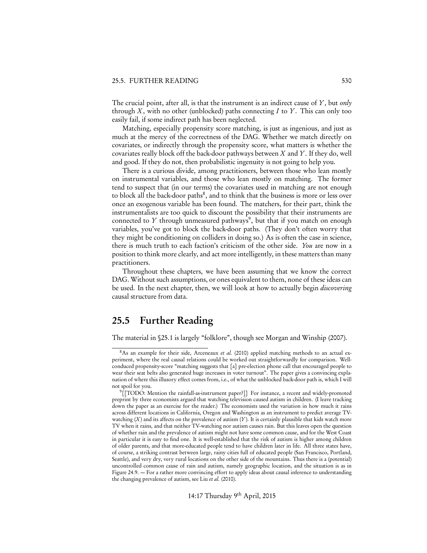The crucial point, after all, is that the instrument is an indirect cause of *Y*, but *only* through  $X$ , with no other (unblocked) paths connecting  $I$  to  $Y$ . This can only too easily fail, if some indirect path has been neglected.

Matching, especially propensity score matching, is just as ingenious, and just as much at the mercy of the correctness of the DAG. Whether we match directly on covariates, or indirectly through the propensity score, what matters is whether the covariates really block off the back-door pathways between *X* and *Y*. If they do, well and good. If they do not, then probabilistic ingenuity is not going to help you.

There is a curious divide, among practitioners, between those who lean mostly on instrumental variables, and those who lean mostly on matching. The former tend to suspect that (in our terms) the covariates used in matching are not enough to block all the back-door paths<sup>8</sup>, and to think that the business is more or less over once an exogenous variable has been found. The matchers, for their part, think the instrumentalists are too quick to discount the possibility that their instruments are connected to *Y* through unmeasured pathways<sup>9</sup>, but that if you match on enough variables, you've got to block the back-door paths. (They don't often worry that they might be conditioning on colliders in doing so.) As is often the case in science, there is much truth to each faction's criticism of the other side. *You* are now in a position to think more clearly, and act more intelligently, in these matters than many practitioners.

Throughout these chapters, we have been assuming that we know the correct DAG. Without such assumptions, or ones equivalent to them, none of these ideas can be used. In the next chapter, then, we will look at how to actually begin *discovering* causal structure from data.

## 25.5 Further Reading

The material in §25.1 is largely "folklore", though see Morgan and Winship (2007).

<sup>&</sup>lt;sup>8</sup>As an example for their side, Arceneaux *et al.* (2010) applied matching methods to an actual experiment, where the real causal relations could be worked out straightforwardly for comparison. Wellconduced propensity-score "matching suggests that [a] pre-election phone call that encouraged people to wear their seat belts also generated huge increases in voter turnout". The paper gives a convincing explanation of where this illusory effect comes from, i.e., of what the unblocked back-door path is, which I will not spoil for you.

<sup>9</sup>[[TODO: Mention the rainfall-as-instrument paper?]] For instance, a recent and widely-promoted preprint by three economists argued that watching television caused autism in children. (I leave tracking down the paper as an exercise for the reader.) The economists used the variation in how much it rains across different locations in California, Oregon and Washington as an instrument to predict average TVwatching (*X* ) and its affects on the prevalence of autism (*Y*). It is certainly plausible that kids watch more TV when it rains, and that neither TV-watching nor autism causes rain. But this leaves open the question of whether rain and the prevalence of autism might not have some common cause, and for the West Coast in particular it is easy to find one. It is well-established that the risk of autism is higher among children of older parents, and that more-educated people tend to have children later in life. All three states have, of course, a striking contrast between large, rainy cities full of educated people (San Francisco, Portland, Seattle), and very dry, very rural locations on the other side of the mountains. Thus there is a (potential) uncontrolled common cause of rain and autism, namely geographic location, and the situation is as in Figure 24.9. — For a rather more convincing effort to apply ideas about causal inference to understanding the changing prevalence of autism, see Liu *et al.* (2010).